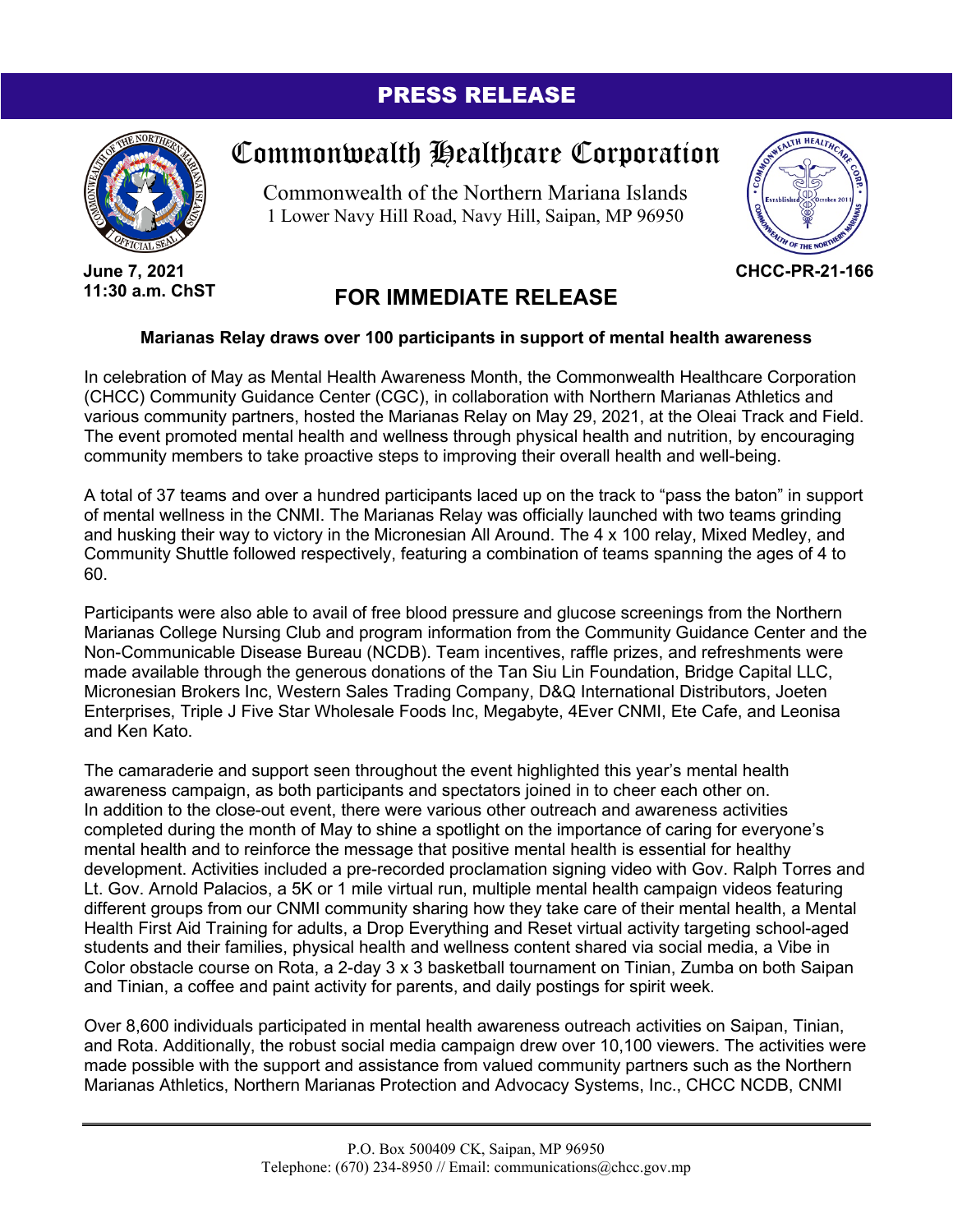## PRESS RELEASE



**June 7, 2021 11:30 a.m. ChST**

## Commonwealth Healthcare Corporation

Commonwealth of the Northern Mariana Islands 1 Lower Navy Hill Road, Navy Hill, Saipan, MP 96950



**CHCC-PR-21-166**

## **FOR IMMEDIATE RELEASE**

## **Marianas Relay draws over 100 participants in support of mental health awareness**

In celebration of May as Mental Health Awareness Month, the Commonwealth Healthcare Corporation (CHCC) Community Guidance Center (CGC), in collaboration with Northern Marianas Athletics and various community partners, hosted the Marianas Relay on May 29, 2021, at the Oleai Track and Field. The event promoted mental health and wellness through physical health and nutrition, by encouraging community members to take proactive steps to improving their overall health and well-being.

A total of 37 teams and over a hundred participants laced up on the track to "pass the baton" in support of mental wellness in the CNMI. The Marianas Relay was officially launched with two teams grinding and husking their way to victory in the Micronesian All Around. The 4 x 100 relay, Mixed Medley, and Community Shuttle followed respectively, featuring a combination of teams spanning the ages of 4 to 60.

Participants were also able to avail of free blood pressure and glucose screenings from the Northern Marianas College Nursing Club and program information from the Community Guidance Center and the Non-Communicable Disease Bureau (NCDB). Team incentives, raffle prizes, and refreshments were made available through the generous donations of the Tan Siu Lin Foundation, Bridge Capital LLC, Micronesian Brokers Inc, Western Sales Trading Company, D&Q International Distributors, Joeten Enterprises, Triple J Five Star Wholesale Foods Inc, Megabyte, 4Ever CNMI, Ete Cafe, and Leonisa and Ken Kato.

The camaraderie and support seen throughout the event highlighted this year's mental health awareness campaign, as both participants and spectators joined in to cheer each other on. In addition to the close-out event, there were various other outreach and awareness activities completed during the month of May to shine a spotlight on the importance of caring for everyone's mental health and to reinforce the message that positive mental health is essential for healthy development. Activities included a pre-recorded proclamation signing video with Gov. Ralph Torres and Lt. Gov. Arnold Palacios, a 5K or 1 mile virtual run, multiple mental health campaign videos featuring different groups from our CNMI community sharing how they take care of their mental health, a Mental Health First Aid Training for adults, a Drop Everything and Reset virtual activity targeting school-aged students and their families, physical health and wellness content shared via social media, a Vibe in Color obstacle course on Rota, a 2-day 3 x 3 basketball tournament on Tinian, Zumba on both Saipan and Tinian, a coffee and paint activity for parents, and daily postings for spirit week.

Over 8,600 individuals participated in mental health awareness outreach activities on Saipan, Tinian, and Rota. Additionally, the robust social media campaign drew over 10,100 viewers. The activities were made possible with the support and assistance from valued community partners such as the Northern Marianas Athletics, Northern Marianas Protection and Advocacy Systems, Inc., CHCC NCDB, CNMI